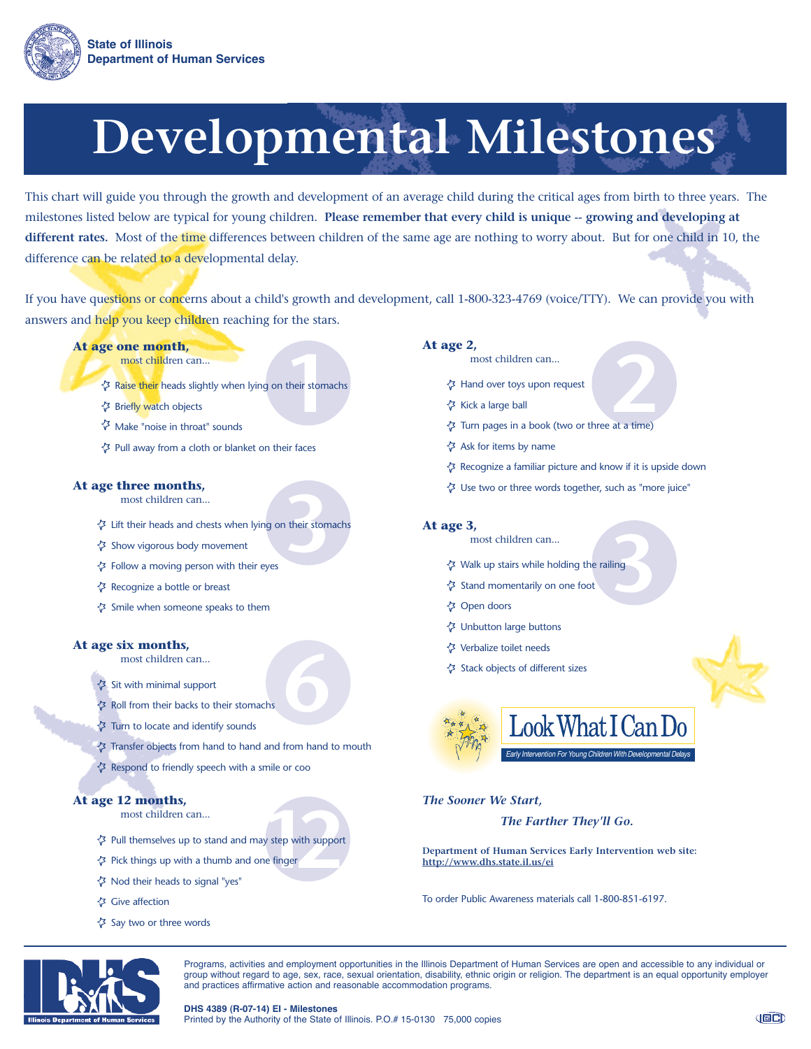

This chart will guide you through the growth and development of an average child during the critical ages from birth to three years. The milestones listed below are typical for young children. **Please remember that every child is unique -- growing and developing at different rates.** Most of the time differences between children of the same age are nothing to worry about. But for one child in 10, the difference can be related to a developmental delay.

If you have questions or concerns about a child's growth and development, call 1-800-323-4769 (voice/TTY). We can provide you with answers and help you keep children reaching for the stars.

- **At age one month,**
	- most children can...
- **1**<br>their stoma Raise their heads slightly when lying on their stomachs
	- **伊 Briefly watch objects**
	- Make "noise in throat" sounds
	- Pull away from a cloth or blanket on their faces

#### **At age three months,**

- most children can...
- **1** their stom Lift their heads and chests when lying on their stomachs
- Show vigorous body movement
- Follow a moving person with their eyes
- Recognize a bottle or breast
- Smile when someone speaks to them

#### **At age six months,**

- most children can...
- Sit with minimal support
- Roll from their backs to their stomachs
- Turn to locate and identify sounds
- Transfer objects from hand to hand and from hand to mouth

**6**

Respond to friendly speech with a smile or coo

# **At age 12 months,**

most children can...

- **12** Pull themselves up to stand and may step with support
- Pick things up with a thumb and one finger
- Nod their heads to signal "yes"
- Give affection
- Say two or three words

#### **At age 2,**

- most children can...
- Hand over toys upon request
- Kick a large ball
- most children can...<br> **22 Hand over toys upon request**<br> **22 Kick a large ball**<br> **22 Turn pages in a book (two or three at a time)**
- Ask for items by name
- Recognize a familiar picture and know if it is upside down
- Use two or three words together, such as "more juice"

#### **At age 3,**

- most children can...
- **3**<br>**3**<br>**3**<br>**3**<br><br>**3**<br><br><br><br><br><br><br><br><br><br><br><br><br><br><br><br> Walk up stairs while holding the railing
	- Stand momentarily on one foot
	- Open doors
	- Unbutton large buttons
	- Verbalize toilet needs
	- Stack objects of different sizes



# *The Sooner We Start,*

### *The Farther They'll Go.*

**Department of Human Services Early Intervention web site: http://www.dhs.state.il.us/ei**

To order Public Awareness materials call 1-800-851-6197.



Programs, activities and employment opportunities in the Illinois Department of Human Services are open and accessible to any individual or group without regard to age, sex, race, sexual orientation, disability, ethnic origin or religion. The department is an equal opportunity employer and practices affirmative action and reasonable accommodation programs.

**DHS 4389 (R-07-14) EI - Milestones**

Printed by the Authority of the State of Illinois. P.O.# 15-0130 75,000 copies